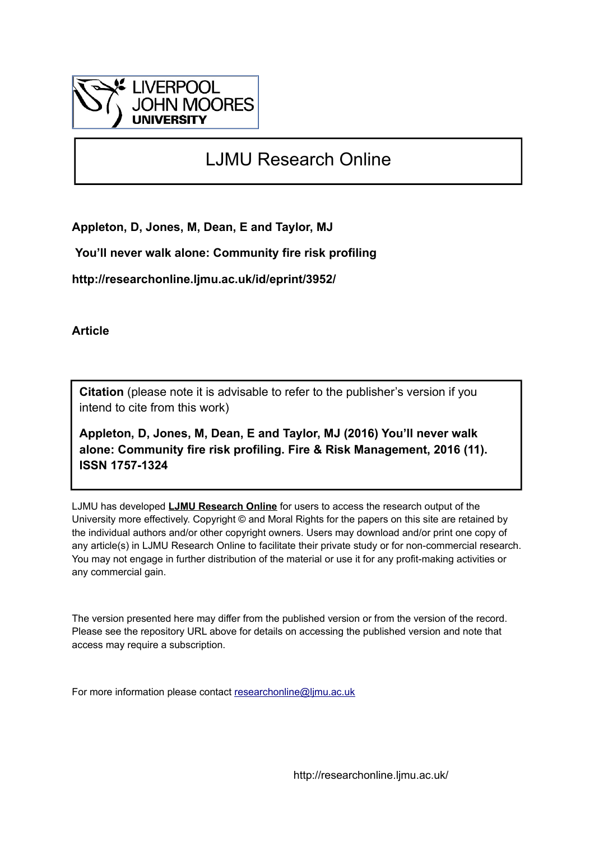

# LJMU Research Online

**Appleton, D, Jones, M, Dean, E and Taylor, MJ**

 **You'll never walk alone: Community fire risk profiling**

**http://researchonline.ljmu.ac.uk/id/eprint/3952/**

**Article**

**Citation** (please note it is advisable to refer to the publisher's version if you intend to cite from this work)

**Appleton, D, Jones, M, Dean, E and Taylor, MJ (2016) You'll never walk alone: Community fire risk profiling. Fire & Risk Management, 2016 (11). ISSN 1757-1324** 

LJMU has developed **[LJMU Research Online](http://researchonline.ljmu.ac.uk/)** for users to access the research output of the University more effectively. Copyright © and Moral Rights for the papers on this site are retained by the individual authors and/or other copyright owners. Users may download and/or print one copy of any article(s) in LJMU Research Online to facilitate their private study or for non-commercial research. You may not engage in further distribution of the material or use it for any profit-making activities or any commercial gain.

The version presented here may differ from the published version or from the version of the record. Please see the repository URL above for details on accessing the published version and note that access may require a subscription.

For more information please contact [researchonline@ljmu.ac.uk](mailto:researchonline@ljmu.ac.uk)

http://researchonline.ljmu.ac.uk/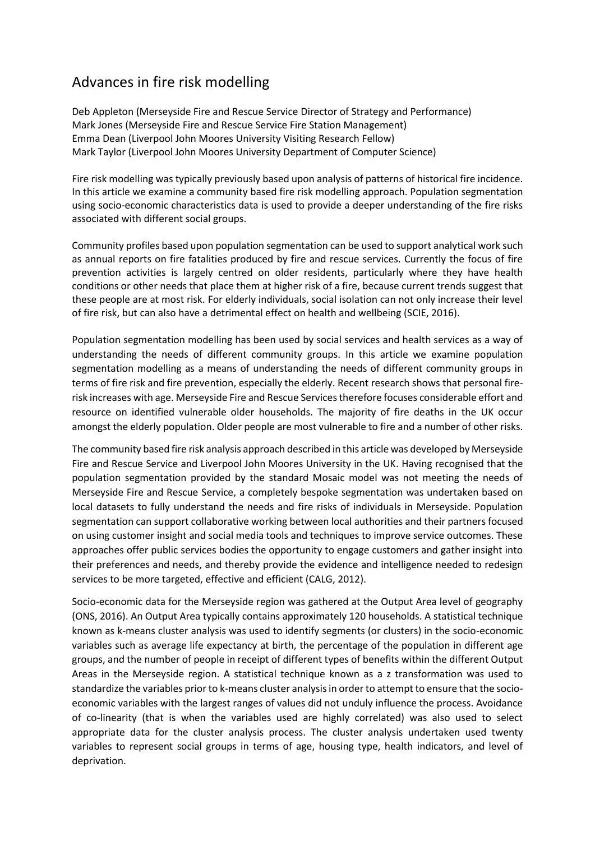# Advances in fire risk modelling

Deb Appleton (Merseyside Fire and Rescue Service Director of Strategy and Performance) Mark Jones (Merseyside Fire and Rescue Service Fire Station Management) Emma Dean (Liverpool John Moores University Visiting Research Fellow) Mark Taylor (Liverpool John Moores University Department of Computer Science)

Fire risk modelling was typically previously based upon analysis of patterns of historical fire incidence. In this article we examine a community based fire risk modelling approach. Population segmentation using socio-economic characteristics data is used to provide a deeper understanding of the fire risks associated with different social groups.

Community profiles based upon population segmentation can be used to support analytical work such as annual reports on fire fatalities produced by fire and rescue services. Currently the focus of fire prevention activities is largely centred on older residents, particularly where they have health conditions or other needs that place them at higher risk of a fire, because current trends suggest that these people are at most risk. For elderly individuals, social isolation can not only increase their level of fire risk, but can also have a detrimental effect on health and wellbeing (SCIE, 2016).

Population segmentation modelling has been used by social services and health services as a way of understanding the needs of different community groups. In this article we examine population segmentation modelling as a means of understanding the needs of different community groups in terms of fire risk and fire prevention, especially the elderly. Recent research shows that personal firerisk increases with age. Merseyside Fire and Rescue Services therefore focuses considerable effort and resource on identified vulnerable older households. The majority of fire deaths in the UK occur amongst the elderly population. Older people are most vulnerable to fire and a number of other risks.

The community based fire risk analysis approach described in this article was developed by Merseyside Fire and Rescue Service and Liverpool John Moores University in the UK. Having recognised that the population segmentation provided by the standard Mosaic model was not meeting the needs of Merseyside Fire and Rescue Service, a completely bespoke segmentation was undertaken based on local datasets to fully understand the needs and fire risks of individuals in Merseyside. Population segmentation can support collaborative working between local authorities and their partners focused on using customer insight and social media tools and techniques to improve service outcomes. These approaches offer public services bodies the opportunity to engage customers and gather insight into their preferences and needs, and thereby provide the evidence and intelligence needed to redesign services to be more targeted, effective and efficient (CALG, 2012).

Socio-economic data for the Merseyside region was gathered at the Output Area level of geography (ONS, 2016). An Output Area typically contains approximately 120 households. A statistical technique known as k-means cluster analysis was used to identify segments (or clusters) in the socio-economic variables such as average life expectancy at birth, the percentage of the population in different age groups, and the number of people in receipt of different types of benefits within the different Output Areas in the Merseyside region. A statistical technique known as a z transformation was used to standardize the variables prior to k-means cluster analysis in order to attempt to ensure that the socioeconomic variables with the largest ranges of values did not unduly influence the process. Avoidance of co-linearity (that is when the variables used are highly correlated) was also used to select appropriate data for the cluster analysis process. The cluster analysis undertaken used twenty variables to represent social groups in terms of age, housing type, health indicators, and level of deprivation.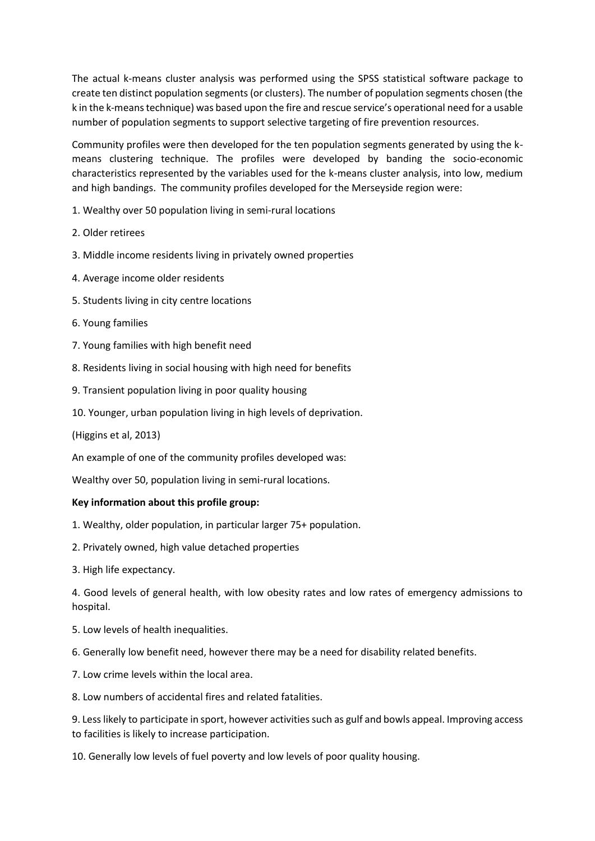The actual k-means cluster analysis was performed using the SPSS statistical software package to create ten distinct population segments (or clusters). The number of population segments chosen (the k in the k-means technique) was based upon the fire and rescue service's operational need for a usable number of population segments to support selective targeting of fire prevention resources.

Community profiles were then developed for the ten population segments generated by using the kmeans clustering technique. The profiles were developed by banding the socio-economic characteristics represented by the variables used for the k-means cluster analysis, into low, medium and high bandings. The community profiles developed for the Merseyside region were:

- 1. Wealthy over 50 population living in semi-rural locations
- 2. Older retirees
- 3. Middle income residents living in privately owned properties
- 4. Average income older residents
- 5. Students living in city centre locations
- 6. Young families
- 7. Young families with high benefit need
- 8. Residents living in social housing with high need for benefits
- 9. Transient population living in poor quality housing
- 10. Younger, urban population living in high levels of deprivation.

(Higgins et al, 2013)

An example of one of the community profiles developed was:

Wealthy over 50, population living in semi-rural locations.

#### **Key information about this profile group:**

- 1. Wealthy, older population, in particular larger 75+ population.
- 2. Privately owned, high value detached properties
- 3. High life expectancy.

4. Good levels of general health, with low obesity rates and low rates of emergency admissions to hospital.

- 5. Low levels of health inequalities.
- 6. Generally low benefit need, however there may be a need for disability related benefits.
- 7. Low crime levels within the local area.
- 8. Low numbers of accidental fires and related fatalities.

9. Less likely to participate in sport, however activities such as gulf and bowls appeal. Improving access to facilities is likely to increase participation.

10. Generally low levels of fuel poverty and low levels of poor quality housing.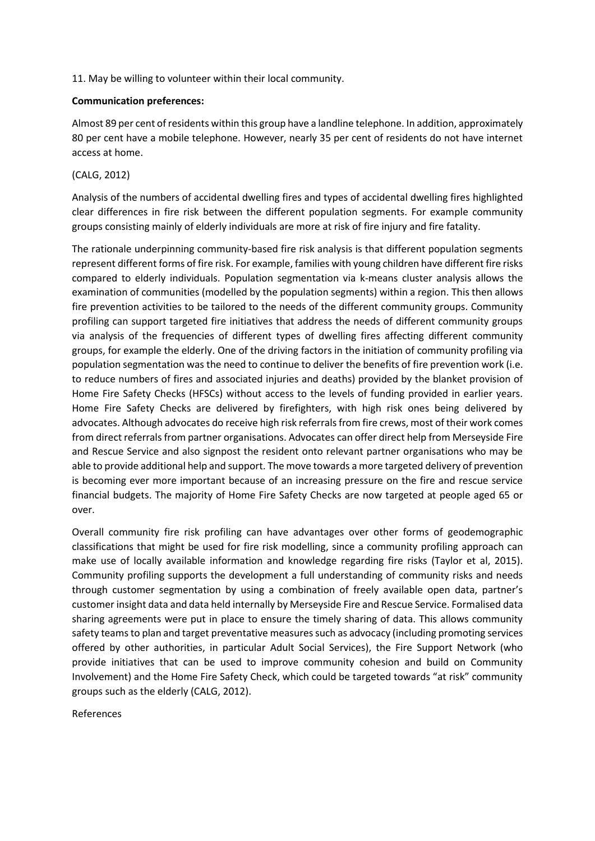11. May be willing to volunteer within their local community.

### **Communication preferences:**

Almost 89 per cent of residents within this group have a landline telephone. In addition, approximately 80 per cent have a mobile telephone. However, nearly 35 per cent of residents do not have internet access at home.

## (CALG, 2012)

Analysis of the numbers of accidental dwelling fires and types of accidental dwelling fires highlighted clear differences in fire risk between the different population segments. For example community groups consisting mainly of elderly individuals are more at risk of fire injury and fire fatality.

The rationale underpinning community-based fire risk analysis is that different population segments represent different forms of fire risk. For example, families with young children have different fire risks compared to elderly individuals. Population segmentation via k-means cluster analysis allows the examination of communities (modelled by the population segments) within a region. This then allows fire prevention activities to be tailored to the needs of the different community groups. Community profiling can support targeted fire initiatives that address the needs of different community groups via analysis of the frequencies of different types of dwelling fires affecting different community groups, for example the elderly. One of the driving factors in the initiation of community profiling via population segmentation was the need to continue to deliver the benefits of fire prevention work (i.e. to reduce numbers of fires and associated injuries and deaths) provided by the blanket provision of Home Fire Safety Checks (HFSCs) without access to the levels of funding provided in earlier years. Home Fire Safety Checks are delivered by firefighters, with high risk ones being delivered by advocates. Although advocates do receive high risk referrals from fire crews, most of their work comes from direct referrals from partner organisations. Advocates can offer direct help from Merseyside Fire and Rescue Service and also signpost the resident onto relevant partner organisations who may be able to provide additional help and support. The move towards a more targeted delivery of prevention is becoming ever more important because of an increasing pressure on the fire and rescue service financial budgets. The majority of Home Fire Safety Checks are now targeted at people aged 65 or over.

Overall community fire risk profiling can have advantages over other forms of geodemographic classifications that might be used for fire risk modelling, since a community profiling approach can make use of locally available information and knowledge regarding fire risks (Taylor et al, 2015). Community profiling supports the development a full understanding of community risks and needs through customer segmentation by using a combination of freely available open data, partner's customer insight data and data held internally by Merseyside Fire and Rescue Service. Formalised data sharing agreements were put in place to ensure the timely sharing of data. This allows community safety teams to plan and target preventative measures such as advocacy (including promoting services offered by other authorities, in particular Adult Social Services), the Fire Support Network (who provide initiatives that can be used to improve community cohesion and build on Community Involvement) and the Home Fire Safety Check, which could be targeted towards "at risk" community groups such as the elderly (CALG, 2012).

References